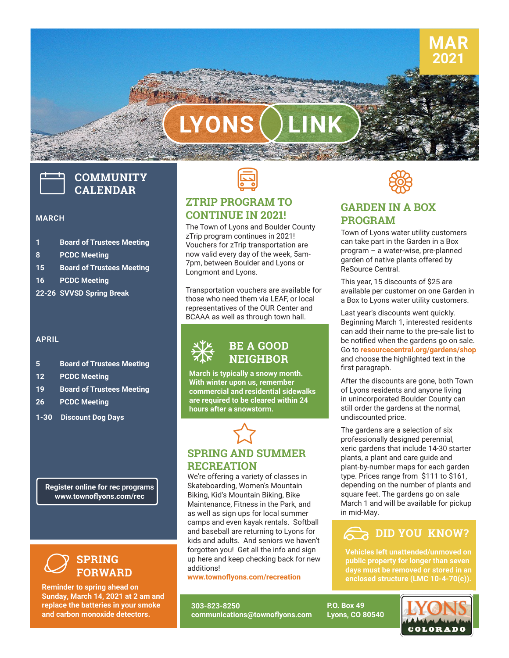# LYONS

## **COMMUNITY CALENDAR**

#### **MARCH**

- **1 Board of Trustees Meeting**
- **8 PCDC Meeting**
- **15 Board of Trustees Meeting**
- **16 PCDC Meeting**
- **22-26 SVVSD Spring Break**

#### **APRIL**

- **5 Board of Trustees Meeting**
- **12 PCDC Meeting**
- **19 Board of Trustees Meeting**
- **26 PCDC Meeting**
- **1-30 Discount Dog Days**

**Register online for rec programs www.townoflyons.com/rec**

#### **SPRING FORWARD**  $\varnothing$

**Reminder to spring ahead on Sunday, March 14, 2021 at 2 am and replace the batteries in your smoke and carbon monoxide detectors.**



#### **ZTRIP PROGRAM TO CONTINUE IN 2021!**

The Town of Lyons and Boulder County zTrip program continues in 2021! Vouchers for zTrip transportation are now valid every day of the week, 5am-7pm, between Boulder and Lyons or Longmont and Lyons.

Transportation vouchers are available for those who need them via LEAF, or local representatives of the OUR Center and BCAAA as well as through town hall.



**March is typically a snowy month. With winter upon us, remember commercial and residential sidewalks are required to be cleared within 24 hours after a snowstorm.**



We're offering a variety of classes in Skateboarding, Women's Mountain Biking, Kid's Mountain Biking, Bike Maintenance, Fitness in the Park, and as well as sign ups for local summer camps and even kayak rentals. Softball and baseball are returning to Lyons for kids and adults. And seniors we haven't forgotten you! Get all the info and sign up here and keep checking back for new additions!

**www.townoflyons.com/recreation**

**303-823-8250 communications@townoflyons.com**



**MAR 2021**

#### **GARDEN IN A BOX PROGRAM**

Town of Lyons water utility customers can take part in the Garden in a Box program – a water-wise, pre-planned garden of native plants offered by ReSource Central.

This year, 15 discounts of \$25 are available per customer on one Garden in a Box to Lyons water utility customers.

Last year's discounts went quickly. Beginning March 1, interested residents can add their name to the pre-sale list to be notified when the gardens go on sale. Go to **[resourcecentral.org/gardens/shop](http://resourcecentral.org/gardens/shop)** and choose the highlighted text in the first paragraph.

After the discounts are gone, both Town of Lyons residents and anyone living in unincorporated Boulder County can still order the gardens at the normal, undiscounted price.

The gardens are a selection of six professionally designed perennial, xeric gardens that include 14-30 starter plants, a plant and care guide and plant-by-number maps for each garden type. Prices range from \$111 to \$161, depending on the number of plants and square feet. The gardens go on sale March 1 and will be available for pickup in mid-May.

#### **DID YOU KNOW?**

**Vehicles left unattended/unmoved on public property for longer than seven days must be removed or stored in an enclosed structure (LMC 10-4-70(c)).**

**P.O. Box 49 Lyons, CO 80540**